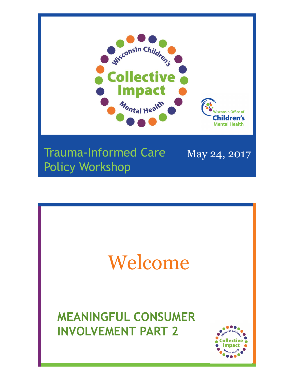

#### Trauma-Informed Care May 24, 2017 Policy Workshop

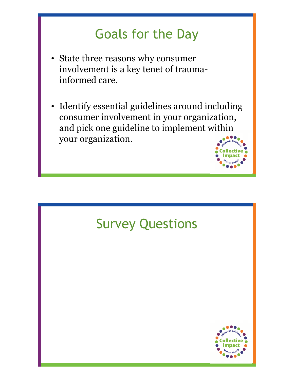#### Goals for the Day

- State three reasons why consumer involvement is a key tenet of traumainformed care.
- Identify essential guidelines around including consumer involvement in your organization, and pick one guideline to implement within your organization.

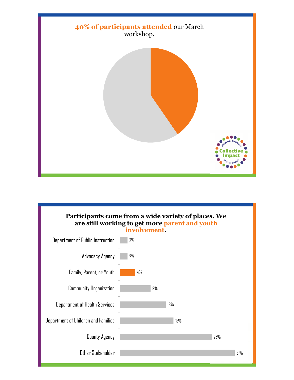

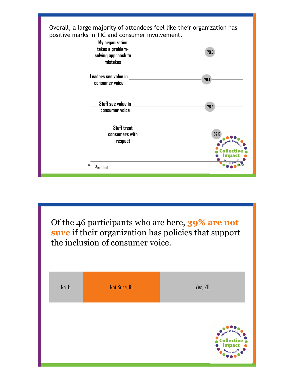

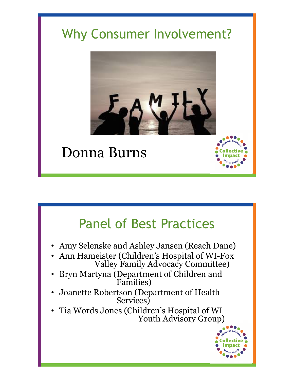## Why Consumer Involvement?



## Donna Burns

#### Panel of Best Practices

- Amy Selenske and Ashley Jansen (Reach Dane)
- Ann Hameister (Children's Hospital of WI-Fox Valley Family Advocacy Committee)
- Bryn Martyna (Department of Children and Families)
- Joanette Robertson (Department of Health Services)
- Tia Words Jones (Children's Hospital of WI Youth Advisory Group)

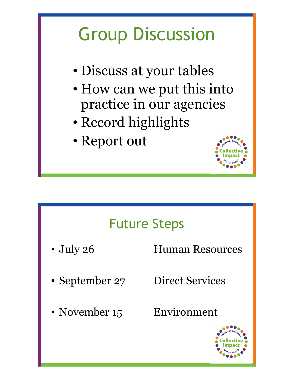# Group Discussion

- Discuss at your tables
- How can we put this into practice in our agencies
- Record highlights
- Report out



### Future Steps

- July 26 Human Resources
- 
- 
- September 27 Direct Services
	-
- November 15 Environment

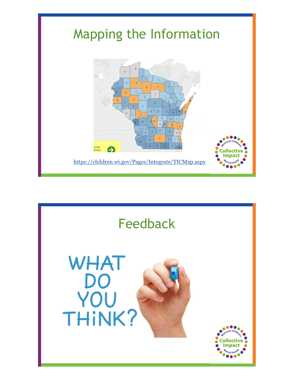